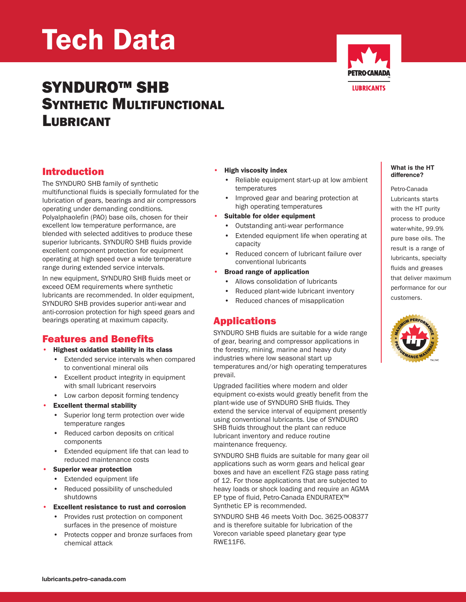# Tech Data

## SYNDURO™ SHB SYNTHETIC MULTIFUNCTIONAL LUBRICANT



### Introduction

The SYNDURO SHB family of synthetic multifunctional fluids is specially formulated for the lubrication of gears, bearings and air compressors operating under demanding conditions. Polyalphaolefin (PAO) base oils, chosen for their excellent low temperature performance, are blended with selected additives to produce these superior lubricants. SYNDURO SHB fluids provide excellent component protection for equipment operating at high speed over a wide temperature range during extended service intervals.

In new equipment, SYNDURO SHB fluids meet or exceed OEM requirements where synthetic lubricants are recommended. In older equipment, SYNDURO SHB provides superior anti-wear and anti-corrosion protection for high speed gears and bearings operating at maximum capacity.

## Features and Benefits

- Highest oxidation stability in its class
	- Extended service intervals when compared to conventional mineral oils
	- Excellent product integrity in equipment with small lubricant reservoirs
	- Low carbon deposit forming tendency
- **Excellent thermal stability** 
	- Superior long term protection over wide temperature ranges
	- Reduced carbon deposits on critical components
	- Extended equipment life that can lead to reduced maintenance costs
- Superior wear protection
	- Extended equipment life
	- Reduced possibility of unscheduled shutdowns
- Excellent resistance to rust and corrosion
	- Provides rust protection on component surfaces in the presence of moisture
	- Protects copper and bronze surfaces from chemical attack

#### • High viscosity index

- Reliable equipment start-up at low ambient temperatures
- Improved gear and bearing protection at high operating temperatures
- Suitable for older equipment
- Outstanding anti-wear performance
- Extended equipment life when operating at capacity
- Reduced concern of lubricant failure over conventional lubricants
- Broad range of application
	- Allows consolidation of lubricants
	- Reduced plant-wide lubricant inventory
	- Reduced chances of misapplication

## Applications

SYNDURO SHB fluids are suitable for a wide range of gear, bearing and compressor applications in the forestry, mining, marine and heavy duty industries where low seasonal start up temperatures and/or high operating temperatures prevail.

Upgraded facilities where modern and older equipment co-exists would greatly benefit from the plant-wide use of SYNDURO SHB fluids. They extend the service interval of equipment presently using conventional lubricants. Use of SYNDURO SHB fluids throughout the plant can reduce lubricant inventory and reduce routine maintenance frequency.

SYNDURO SHB fluids are suitable for many gear oil applications such as worm gears and helical gear boxes and have an excellent FZG stage pass rating of 12. For those applications that are subjected to heavy loads or shock loading and require an AGMA EP type of fluid, Petro-Canada ENDURATEX™ Synthetic EP is recommended.

SYNDURO SHB 46 meets Voith Doc. 3625-008377 and is therefore suitable for lubrication of the Vorecon variable speed planetary gear type RWE11F6.

#### **What is the HT difference?**

Petro-Canada Lubricants starts with the HT purity process to produce water-white, 99.9% pure base oils. The result is a range of lubricants, specialty fluids and greases that deliver maximum performance for our customers.